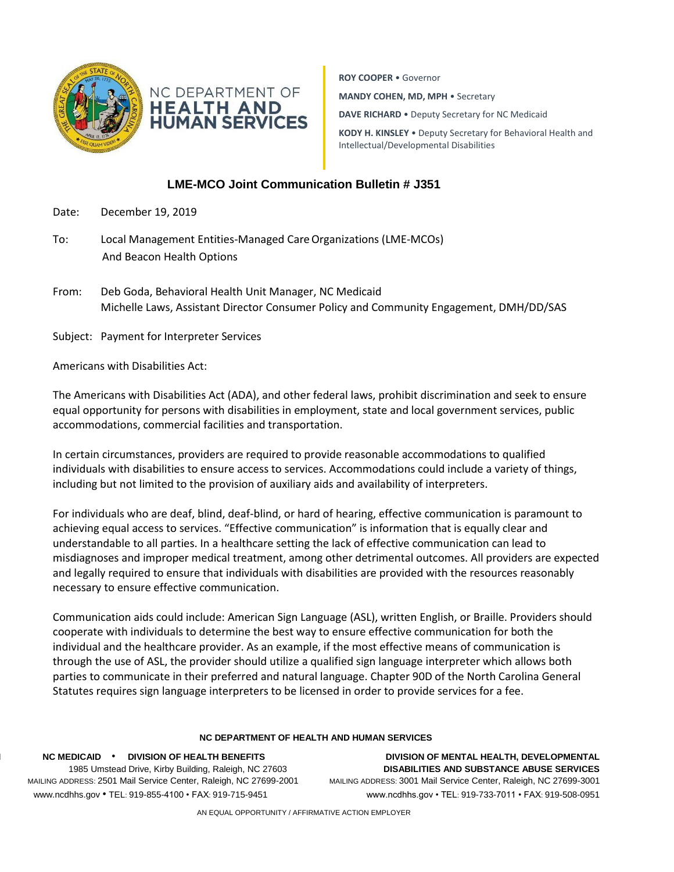



**ROY COOPER** • Governor **MANDY COHEN, MD, MPH** • Secretary **DAVE RICHARD** • Deputy Secretary for NC Medicaid **KODY H. KINSLEY** • Deputy Secretary for Behavioral Health and Intellectual/Developmental Disabilities

## **LME-MCO Joint Communication Bulletin # J351**

- Date: December 19, 2019
- To: Local Management Entities-Managed CareOrganizations (LME-MCOs) And Beacon Health Options
- From: Deb Goda, Behavioral Health Unit Manager, NC Medicaid Michelle Laws, Assistant Director Consumer Policy and Community Engagement, DMH/DD/SAS

Subject: Payment for Interpreter Services

Americans with Disabilities Act:

The Americans with Disabilities Act (ADA), and other federal laws, prohibit discrimination and seek to ensure equal opportunity for persons with disabilities in employment, state and local government services, public accommodations, commercial facilities and transportation.

In certain circumstances, providers are required to provide reasonable accommodations to qualified individuals with disabilities to ensure access to services. Accommodations could include a variety of things, including but not limited to the provision of auxiliary aids and availability of interpreters.

For individuals who are deaf, blind, deaf-blind, or hard of hearing, effective communication is paramount to achieving equal access to services. "Effective communication" is information that is equally clear and understandable to all parties. In a healthcare setting the lack of effective communication can lead to misdiagnoses and improper medical treatment, among other detrimental outcomes. All providers are expected and legally required to ensure that individuals with disabilities are provided with the resources reasonably necessary to ensure effective communication.

Communication aids could include: American Sign Language (ASL), written English, or Braille. Providers should cooperate with individuals to determine the best way to ensure effective communication for both the individual and the healthcare provider. As an example, if the most effective means of communication is through the use of ASL, the provider should utilize a qualified sign language interpreter which allows both parties to communicate in their preferred and natural language. Chapter 90D of the North Carolina General Statutes requires sign language interpreters to be licensed in order to provide services for a fee.

## **NC DEPARTMENT OF HEALTH AND HUMAN SERVICES**

**NC M NC MEDICAID** • **DIVISION OF HEALTH BENEFITS DIVISION OF MENTAL HEALTH, DEVELOPMENTAL**  LOCATION: 1985 Umstead Drive, Kirby Building, Raleigh, NC 27603 **DISABILITIES AND SUBSTANCE ABUSE SERVICES** MAILING ADDRESS: 2501 Mail Service Center, Raleigh, NC 27699-2001 MAILING ADDRESS: 3001 Mail Service Center, Raleigh, NC 27699-3001 [www.ncdh](http://www.ncdh/) www.ncdhhs.gov • TEL: 919-855-4100 • FAX: 919-715-9451 www.ncdhhs.gov • TEL: 919-733-7011 • FAX: 919-508-0951

AN EQUAL OPPORTUNITY / AFFIRMATIVE ACTION EMPLOYER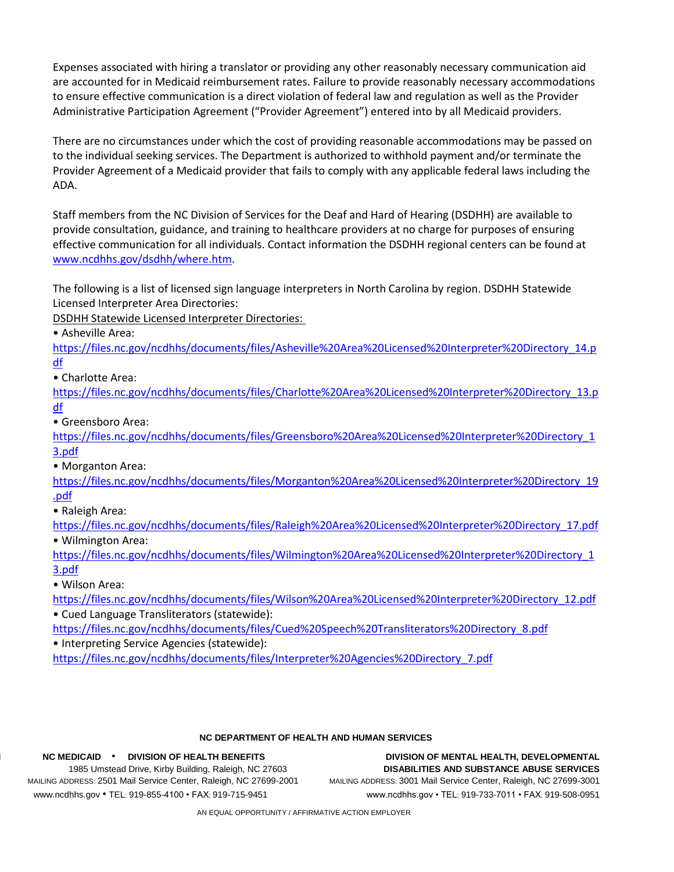Expenses associated with hiring a translator or providing any other reasonably necessary communication aid are accounted for in Medicaid reimbursement rates. Failure to provide reasonably necessary accommodations to ensure effective communication is a direct violation of federal law and regulation as well as the Provider Administrative Participation Agreement ("Provider Agreement") entered into by all Medicaid providers.

There are no circumstances under which the cost of providing reasonable accommodations may be passed on to the individual seeking services. The Department is authorized to withhold payment and/or terminate the Provider Agreement of a Medicaid provider that fails to comply with any applicable federal laws including the ADA.

Staff members from the NC Division of Services for the Deaf and Hard of Hearing (DSDHH) are available to provide consultation, guidance, and training to healthcare providers at no charge for purposes of ensuring effective communication for all individuals. Contact information the DSDHH regional centers can be found at [www.ncdhhs.gov/dsdhh/where.htm.](http://www.ncdhhs.gov/dsdhh/where.htm)

The following is a list of licensed sign language interpreters in North Carolina by region. DSDHH Statewide Licensed Interpreter Area Directories:

DSDHH Statewide Licensed Interpreter Directories:

• Asheville Area:

[https://files.nc.gov/ncdhhs/documents/files/Asheville%20Area%20Licensed%20Interpreter%20Directory\\_14.p](https://files.nc.gov/ncdhhs/documents/files/Asheville%20Area%20Licensed%20Interpreter%20Directory_14.pdf) [df](https://files.nc.gov/ncdhhs/documents/files/Asheville%20Area%20Licensed%20Interpreter%20Directory_14.pdf)

• Charlotte Area:

[https://files.nc.gov/ncdhhs/documents/files/Charlotte%20Area%20Licensed%20Interpreter%20Directory\\_13.p](https://files.nc.gov/ncdhhs/documents/files/Charlotte%20Area%20Licensed%20Interpreter%20Directory_13.pdf) [df](https://files.nc.gov/ncdhhs/documents/files/Charlotte%20Area%20Licensed%20Interpreter%20Directory_13.pdf)

• Greensboro Area:

[https://files.nc.gov/ncdhhs/documents/files/Greensboro%20Area%20Licensed%20Interpreter%20Directory\\_1](https://files.nc.gov/ncdhhs/documents/files/Greensboro%20Area%20Licensed%20Interpreter%20Directory_13.pdf) [3.pdf](https://files.nc.gov/ncdhhs/documents/files/Greensboro%20Area%20Licensed%20Interpreter%20Directory_13.pdf)

• Morganton Area:

[https://files.nc.gov/ncdhhs/documents/files/Morganton%20Area%20Licensed%20Interpreter%20Directory\\_19](https://files.nc.gov/ncdhhs/documents/files/Morganton%20Area%20Licensed%20Interpreter%20Directory_19.pdf) [.pdf](https://files.nc.gov/ncdhhs/documents/files/Morganton%20Area%20Licensed%20Interpreter%20Directory_19.pdf)

• Raleigh Area:

[https://files.nc.gov/ncdhhs/documents/files/Raleigh%20Area%20Licensed%20Interpreter%20Directory\\_17.pdf](https://files.nc.gov/ncdhhs/documents/files/Raleigh%20Area%20Licensed%20Interpreter%20Directory_17.pdf) • Wilmington Area:

[https://files.nc.gov/ncdhhs/documents/files/Wilmington%20Area%20Licensed%20Interpreter%20Directory\\_1](https://files.nc.gov/ncdhhs/documents/files/Wilmington%20Area%20Licensed%20Interpreter%20Directory_13.pdf) [3.pdf](https://files.nc.gov/ncdhhs/documents/files/Wilmington%20Area%20Licensed%20Interpreter%20Directory_13.pdf)

• Wilson Area:

[https://files.nc.gov/ncdhhs/documents/files/Wilson%20Area%20Licensed%20Interpreter%20Directory\\_12.pdf](https://files.nc.gov/ncdhhs/documents/files/Wilson%20Area%20Licensed%20Interpreter%20Directory_12.pdf) • Cued Language Transliterators (statewide):

[https://files.nc.gov/ncdhhs/documents/files/Cued%20Speech%20Transliterators%20Directory\\_8.pdf](https://files.nc.gov/ncdhhs/documents/files/Cued%20Speech%20Transliterators%20Directory_8.pdf)

• Interpreting Service Agencies (statewide):

[https://files.nc.gov/ncdhhs/documents/files/Interpreter%20Agencies%20Directory\\_7.pdf](https://files.nc.gov/ncdhhs/documents/files/Interpreter%20Agencies%20Directory_7.pdf)

## **NC DEPARTMENT OF HEALTH AND HUMAN SERVICES**

MAILING ADDRESS: 2501 Mail Service Center, Raleigh, NC 27699-2001 MAILING ADDRESS: 3001 Mail Service Center, Raleigh, NC 27699-3001 [www.ncdh](http://www.ncdh/) www.ncdhhs.gov • TEL: 919-855-4100 • FAX: 919-715-9451 www.ncdhhs.gov • TEL: 919-733-7011 • FAX: 919-508-0951

**NC M NC MEDICAID** • **DIVISION OF HEALTH BENEFITS DIVISION OF MENTAL HEALTH, DEVELOPMENTAL**  LOCATION: 1985 Umstead Drive, Kirby Building, Raleigh, NC 27603 **DISABILITIES AND SUBSTANCE ABUSE SERVICES**

AN EQUAL OPPORTUNITY / AFFIRMATIVE ACTION EMPLOYER